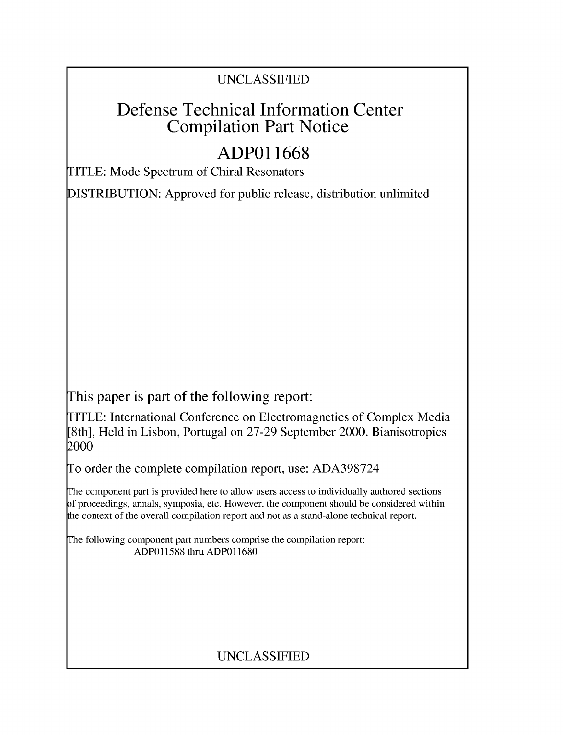## UNCLASSIFIED

# Defense Technical Information Center Compilation Part Notice

# **ADPO 11668**

TITLE: Mode Spectrum of Chiral Resonators

DISTRIBUTION: Approved for public release, distribution unlimited

This paper is part of the following report:

TITLE: International Conference on Electromagnetics of Complex Media [8th], Held in Lisbon, Portugal on 27-29 September 2000. Bianisotropics 2000

To order the complete compilation report, use: ADA398724

The component part is provided here to allow users access to individually authored sections f proceedings, annals, symposia, etc. However, the component should be considered within [he context of the overall compilation report and not as a stand-alone technical report.

The following component part numbers comprise the compilation report: ADP011588 thru ADP011680

## UNCLASSIFIED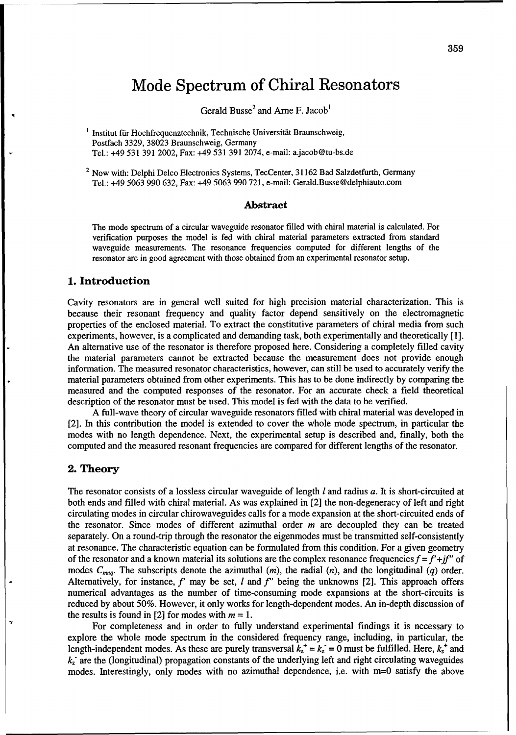## Mode Spectrum of Chiral Resonators

Gerald Busse<sup>2</sup> and Arne F. Jacob<sup>1</sup>

 $<sup>1</sup>$  Institut für Hochfrequenztechnik, Technische Universität Braunschweig,</sup> Postfach 3329, 38023 Braunschweig, Germany Tel.: +49 531 391 2002, Fax: +49 531 391 2074, e-mail: a.jacob@tu-bs.de

<sup>2</sup> Now with: Delphi Delco Electronics Systems, TecCenter, 31162 Bad Salzdetfurth, Germany Tel.: +49 5063 990 632, Fax: +49 5063 990 721, e-mail: Gerald.Busse@delphiauto.com

#### Abstract

The mode spectrum of a circular waveguide resonator filled with chiral material is calculated. For verification purposes the model is fed with chiral material parameters extracted from standard waveguide measurements. The resonance frequencies computed for different lengths of the resonator are in good agreement with those obtained from an experimental resonator setup.

#### 1. Introduction

Cavity resonators are in general well suited for high precision material characterization. This is because their resonant frequency and quality factor depend sensitively on the electromagnetic properties of the enclosed material. To extract the constitutive parameters of chiral media from such experiments, however, is a complicated and demanding task, both experimentally and theoretically [1]. An alternative use of the resonator is therefore proposed here. Considering a completely filled cavity the material parameters cannot be extracted because the measurement does not provide enough information. The measured resonator characteristics, however, can still be used to accurately verify the material parameters obtained from other experiments. This has to be done indirectly by comparing the measured and the computed responses of the resonator. For an accurate check a field theoretical description of the resonator must be used. This model is fed with the data to be verified.

A full-wave theory of circular waveguide resonators filled with chiral material was developed in [2]. In this contribution the model is extended to cover the whole mode spectrum, in particular the modes with no length dependence. Next, the experimental setup is described and, finally, both the computed and the measured resonant frequencies are compared for different lengths of the resonator.

#### 2. Theory

The resonator consists of a lossless circular waveguide of length *1* and radius a. It is short-circuited at both ends and filled with chiral material. As was explained in [2] the non-degeneracy of left and right circulating modes in circular chirowaveguides calls for a mode expansion at the short-circuited ends of the resonator. Since modes of different azimuthal order  $m$  are decoupled they can be treated separately. On a round-trip through the resonator the eigenmodes must be transmitted self-consistently at resonance. The characteristic equation can be formulated from this condition. For a given geometry of the resonator and a known material its solutions are the complex resonance frequencies  $f = f' + if''$  of modes  $C_{mnq}$ . The subscripts denote the azimuthal  $(m)$ , the radial  $(n)$ , and the longitudinal  $(q)$  order. Alternatively, for instance, *f'* may be set, *1* and *f'* being the unknowns [2]. This approach offers numerical advantages as the number of time-consuming mode expansions at the short-circuits is reduced by about 50%. However, it only works for length-dependent modes. An in-depth discussion of the results is found in [2] for modes with  $m = 1$ .

For completeness and in order to fully understand experimental findings it is necessary to explore the whole mode spectrum in the considered frequency range, including, in particular, the length-independent modes. As these are purely transversal  $k_z^+ = k_z = 0$  must be fulfilled. Here,  $k_z^+$  and *k-* are the (longitudinal) propagation constants of the underlying left and right circulating waveguides modes. Interestingly, only modes with no azimuthal dependence, i.e. with m=0 satisfy the above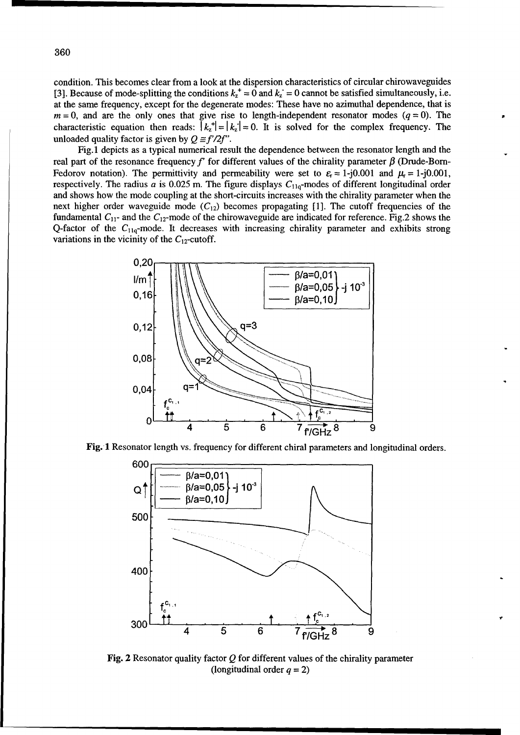condition. This becomes clear from a look at the dispersion characteristics of circular chirowaveguides [3]. Because of mode-splitting the conditions  $k_z^+ = 0$  and  $k_z = 0$  cannot be satisfied simultaneously, i.e. at the same frequency, except for the degenerate modes: These have no azimuthal dependence, that is  $m = 0$ , and are the only ones that give rise to length-independent resonator modes ( $q = 0$ ). The characteristic equation then reads:  $|k_z| = |k_z| = 0$ . It is solved for the complex frequency. The unloaded quality factor is given by  $Q \equiv f'/2f''$ .

Fig. 1 depicts as a typical numerical result the dependence between the resonator length and the real part of the resonance frequency  $f'$  for different values of the chirality parameter  $\beta$  (Drude-Born-Fedorov notation). The permittivity and permeability were set to  $\varepsilon_r = 1-j0.001$  and  $\mu_r = 1-j0.001$ , respectively. The radius  $a$  is 0.025 m. The figure displays  $C_{11a}$ -modes of different longitudinal order and shows how the mode coupling at the short-circuits increases with the chirality parameter when the next higher order waveguide mode  $(C_{12})$  becomes propagating [1]. The cutoff frequencies of the fundamental  $C_{11}$ - and the  $C_{12}$ -mode of the chirowaveguide are indicated for reference. Fig.2 shows the Q-factor of the  $C_{11q}$ -mode. It decreases with increasing chirality parameter and exhibits strong variations in the vicinity of the  $C_{12}$ -cutoff.







**Fig. 2** Resonator quality factor Q for different values of the chirality parameter (longitudinal order  $q = 2$ )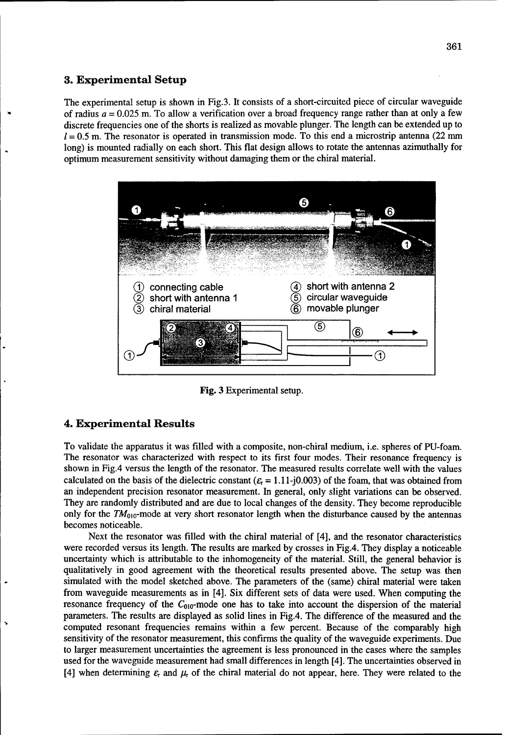#### **3.** Experimental Setup

The experimental setup is shown in Fig.3. It consists of a short-circuited piece of circular waveguide of radius  $a = 0.025$  m. To allow a verification over a broad frequency range rather than at only a few discrete frequencies one of the shorts is realized as movable plunger. The length can be extended up to  $l = 0.5$  m. The resonator is operated in transmission mode. To this end a microstrip antenna (22 mm) long) is mounted radially on each short. This flat design allows to rotate the antennas azimuthally for optimum measurement sensitivity without damaging them or the chiral material.



Fig. 3 Experimental setup.

#### 4. Experimental Results

To validate the apparatus it was filled with a composite, non-chiral medium, i.e. spheres of PU-foam. The resonator was characterized with respect to its first four modes. Their resonance frequency is shown in Fig.4 versus the length of the resonator. The measured results correlate well with the values calculated on the basis of the dielectric constant  $(\epsilon = 1.11 - i0.003)$  of the foam, that was obtained from an independent precision resonator measurement. In general, only slight variations can be observed. They are randomly distributed and are due to local changes of the density. They become reproducible only for the  $TM_{010}$ -mode at very short resonator length when the disturbance caused by the antennas becomes noticeable.

Next the resonator was filled with the chiral material of [4], and the resonator characteristics were recorded versus its length. The results are marked by crosses in Fig.4. They display a noticeable uncertainty which is attributable to the inhomogeneity of the material. Still, the general behavior is qualitatively in good agreement with the theoretical results presented above. The setup was then simulated with the model sketched above. The parameters of the (same) chiral material were taken from waveguide measurements as in [4]. Six different sets of data were used. When computing the resonance frequency of the  $C_{010}$ -mode one has to take into account the dispersion of the material parameters. The results are displayed as solid lines in Fig.4. The difference of the measured and the computed resonant frequencies remains within a few percent. Because of the comparably high sensitivity of the resonator measurement, this confirms the quality of the waveguide experiments. Due to larger measurement uncertainties the agreement is less pronounced in the cases where the samples used for the waveguide measurement had small differences in length [4]. The uncertainties observed in [4] when determining  $\varepsilon_r$  and  $\mu_r$  of the chiral material do not appear, here. They were related to the